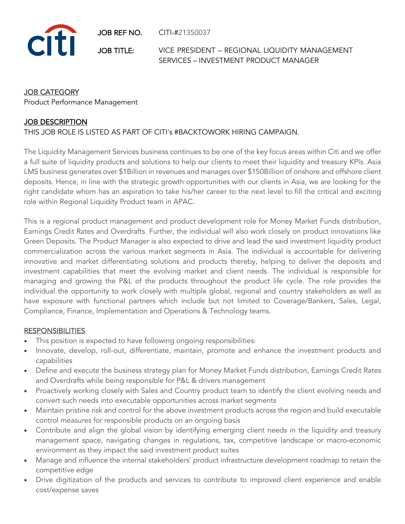JOB REF NO. CITI-#21350037



JOB TITLE: VICE PRESIDENT – REGIONAL LIQUIDITY MANAGEMENT SERVICES – INVESTMENT PRODUCT MANAGER

# JOB CATEGORY

Product Performance Management

## JOB DESCRIPTION

## THIS JOB ROLE IS LISTED AS PART OF CITI's #BACKTOWORK HIRING CAMPAIGN.

The Liquidity Management Services business continues to be one of the key focus areas within Citi and we offer a full suite of liquidity products and solutions to help our clients to meet their liquidity and treasury KPIs. Asia LMS business generates over \$1Billion in revenues and manages over \$150Billion of onshore and offshore client deposits. Hence, in line with the strategic growth opportunities with our clients in Asia, we are looking for the right candidate whom has an aspiration to take his/her career to the next level to fill the critical and exciting role within Regional Liquidity Product team in APAC.

This is a regional product management and product development role for Money Market Funds distribution, Earnings Credit Rates and Overdrafts. Further, the individual will also work closely on product innovations like Green Deposits. The Product Manager is also expected to drive and lead the said investment liquidity product commercialization across the various market segments in Asia. The individual is accountable for delivering innovative and market differentiating solutions and products thereby, helping to deliver the deposits and investment capabilities that meet the evolving market and client needs. The individual is responsible for managing and growing the P&L of the products throughout the product life cycle. The role provides the individual the opportunity to work closely with multiple global, regional and country stakeholders as well as have exposure with functional partners which include but not limited to Coverage/Bankers, Sales, Legal, Compliance, Finance, Implementation and Operations & Technology teams.

#### **RESPONSIBILITIES**

- This position is expected to have following ongoing responsibilities:
- Innovate, develop, roll-out, differentiate, maintain, promote and enhance the investment products and capabilities
- Define and execute the business strategy plan for Money Market Funds distribution, Earnings Credit Rates and Overdrafts while being responsible for P&L & drivers management
- Proactively working closely with Sales and Country product team to identify the client evolving needs and convert such needs into executable opportunities across market segments
- Maintain pristine risk and control for the above investment products across the region and build executable control measures for responsible products on an ongoing basis
- Contribute and align the global vision by identifying emerging client needs in the liquidity and treasury management space, navigating changes in regulations, tax, competitive landscape or macro-economic environment as they impact the said investment product suites
- Manage and influence the internal stakeholders' product infrastructure development roadmap to retain the competitive edge
- Drive digitization of the products and services to contribute to improved client experience and enable cost/expense saves